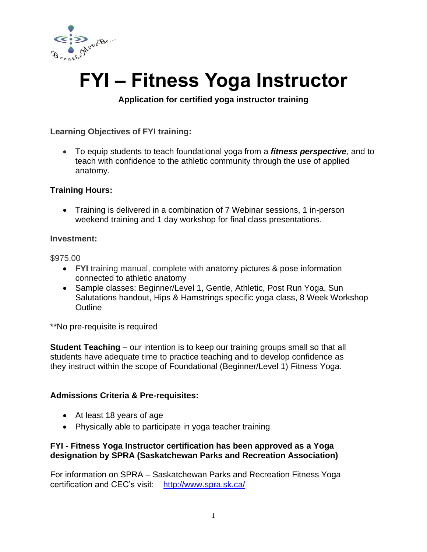

# **FYI – Fitness Yoga Instructor**

**Application for certified yoga instructor training**

## **Learning Objectives of FYI training:**

• To equip students to teach foundational yoga from a *fitness perspective*, and to teach with confidence to the athletic community through the use of applied anatomy.

## **Training Hours:**

• Training is delivered in a combination of 7 Webinar sessions, 1 in-person weekend training and 1 day workshop for final class presentations.

#### **Investment:**

\$975.00

- **FYI** training manual, complete with anatomy pictures & pose information connected to athletic anatomy
- Sample classes: Beginner/Level 1, Gentle, Athletic, Post Run Yoga, Sun Salutations handout, Hips & Hamstrings specific yoga class, 8 Week Workshop **Outline**

\*\*No pre-requisite is required

**Student Teaching** – our intention is to keep our training groups small so that all students have adequate time to practice teaching and to develop confidence as they instruct within the scope of Foundational (Beginner/Level 1) Fitness Yoga.

## **Admissions Criteria & Pre-requisites:**

- At least 18 years of age
- Physically able to participate in yoga teacher training

## **FYI - Fitness Yoga Instructor certification has been approved as a Yoga designation by SPRA (Saskatchewan Parks and Recreation Association)**

For information on SPRA – Saskatchewan Parks and Recreation Fitness Yoga certification and CEC's visit: <http://www.spra.sk.ca/>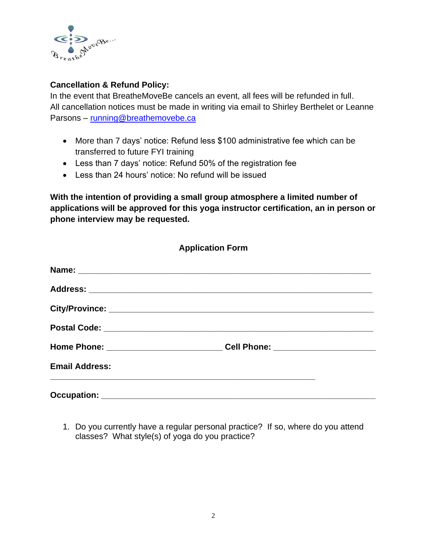

## **Cancellation & Refund Policy:**

In the event that BreatheMoveBe cancels an event, all fees will be refunded in full. All cancellation notices must be made in writing via email to Shirley Berthelet or Leanne Parsons – [running@breathemovebe.ca](mailto:running@breathemovebe.ca)

- More than 7 days' notice: Refund less \$100 administrative fee which can be transferred to future FYI training
- Less than 7 days' notice: Refund 50% of the registration fee
- Less than 24 hours' notice: No refund will be issued

**With the intention of providing a small group atmosphere a limited number of applications will be approved for this yoga instructor certification, an in person or phone interview may be requested.**

| <b>Application Form</b> |                                                                                  |  |
|-------------------------|----------------------------------------------------------------------------------|--|
|                         |                                                                                  |  |
|                         |                                                                                  |  |
|                         |                                                                                  |  |
|                         |                                                                                  |  |
|                         | Home Phone: _______________________________Cell Phone: _________________________ |  |
| <b>Email Address:</b>   |                                                                                  |  |
|                         |                                                                                  |  |

1. Do you currently have a regular personal practice? If so, where do you attend classes? What style(s) of yoga do you practice?